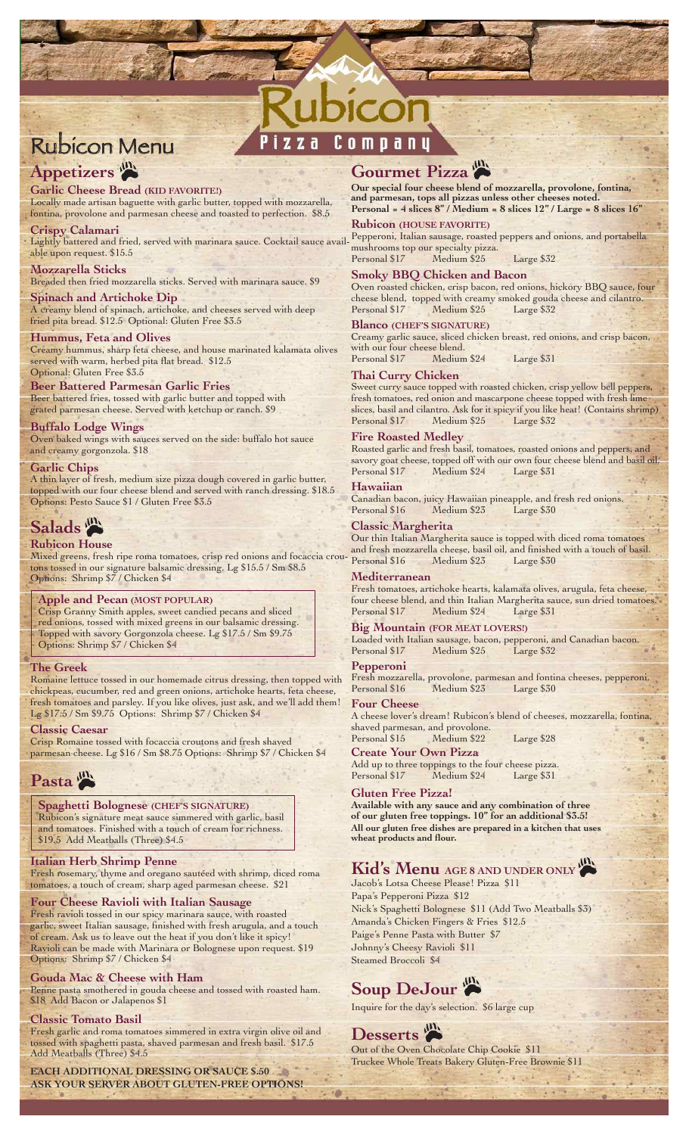# Appetizers<sup>(A)</sup>

## **Garlic Cheese Bread (KID FAVORITE!)**

Locally made artisan baguette with garlic butter, topped with mozzarella, fontina, provolone and parmesan cheese and toasted to perfection. \$8.5

**Crispy Calamari**

Lightly battered and fried, served with marinara sauce. Cocktail sauce available upon request. \$15.5

## **Mozzarella Sticks**

Breaded then fried mozzarella sticks. Served with marinara sauce. \$9 **Spinach and Artichoke Dip** 

A creamy blend of spinach, artichoke, and cheeses served with deep fried pita bread. \$12.5 Optional: Gluten Free \$3.5

## **Hummus, Feta and Olives**

Creamy hummus, sharp feta cheese, and house marinated kalamata olives served with warm, herbed pita flat bread. \$12.5 Optional: Gluten Free \$3.5

## **Beer Battered Parmesan Garlic Fries**

Beer battered fries, tossed with garlic butter and topped with grated parmesan cheese. Served with ketchup or ranch. \$9

## **Buffalo Lodge Wings**

Oven baked wings with sauces served on the side: buffalo hot sauce and creamy gorgonzola. \$18

## **Garlic Chips**

A thin layer of fresh, medium size pizza dough covered in garlic butter, topped with our four cheese blend and served with ranch dressing. \$18.5 Options: Pesto Sauce \$1 / Gluten Free \$3.5

## Salads<sup>(m)</sup>

## **Rubicon House**

Mixed greens, fresh ripe roma tomatoes, crisp red onions and focaccia croutons tossed in our signature balsamic dressing. Lg \$15.5 / Sm \$8.5 Options: Shrimp \$7 / Chicken \$4

## **Apple and Pecan (MOST POPULAR)**

Crisp Granny Smith apples, sweet candied pecans and sliced red onions, tossed with mixed greens in our balsamic dressing. Topped with savory Gorgonzola cheese. Lg \$17.5 / Sm \$9.75 Options: Shrimp \$7 / Chicken \$4

## **The Greek**

Romaine lettuce tossed in our homemade citrus dressing, then topped with chickpeas, cucumber, red and green onions, artichoke hearts, feta cheese, fresh tomatoes and parsley. If you like olives, just ask, and we'll add them! Lg \$17.5 / Sm \$9.75 Options: Shrimp \$7 / Chicken \$4

#### **Classic Caesar**

Crisp Romaine tossed with focaccia croutons and fresh shaved parmesan cheese. Lg \$16 / Sm \$8.75 Options: Shrimp \$7 / Chicken \$4

# Pasta<sup> (III</sup>)

## **Spaghetti Bolognese (CHEF'S SIGNATURE)**

Rubicon's signature meat sauce simmered with garlic, basil and tomatoes. Finished with a touch of cream for richness. \$19.5 Add Meatballs (Three) \$4.5

## **Italian Herb Shrimp Penne**

Fresh rosemary, thyme and oregano sautéed with shrimp, diced roma tomatoes, a touch of cream, sharp aged parmesan cheese. \$21

## **Four Cheese Ravioli with Italian Sausage**

Fresh ravioli tossed in our spicy marinara sauce, with roasted garlic, sweet Italian sausage, finished with fresh arugula, and a touch of cream. Ask us to leave out the heat if you don't like it spicy! Ravioli can be made with Marinara or Bolognese upon request. \$19 Options: Shrimp \$7 / Chicken \$4

## **Gouda Mac & Cheese with Ham**

Penne pasta smothered in gouda cheese and tossed with roasted ham. \$18 Add Bacon or Jalapenos \$1

## **Classic Tomato Basil**

Fresh garlic and roma tomatoes simmered in extra virgin olive oil and tossed with spaghetti pasta, shaved parmesan and fresh basil. \$17.5 Add Meatballs (Three) \$4.5

**EACH ADDITIONAL DRESSING OR SAUCE \$.50 ASK YOUR SERVER ABOUT GLUTEN-FREE OPTIONS!**

# Gourmet Pizza

**Our special four cheese blend of mozzarella, provolone, fontina, and parmesan, tops all pizzas unless other cheeses noted. Personal = 4 slices 8" / Medium = 8 slices 12" / Large = 8 slices 16"**

#### **Rubicon (HOUSE FAVORITE)**

Pepperoni, Italian sausage, roasted peppers and onions, and portabella mushrooms top our specialty pizza.

Personal \$17 Medium \$25 Large \$32

## **Smoky BBQ Chicken and Bacon**

Oven roasted chicken, crisp bacon, red onions, hickory BBQ sauce, four cheese blend, topped with creamy smoked gouda cheese and cilantro. Personal \$17

#### **Blanco (CHEF'S SIGNATURE)**

Creamy garlic sauce, sliced chicken breast, red onions, and crisp bacon, with our four cheese blend.<br>Personal \$17 Medium Medium \$24 Large \$31

## **Thai Curry Chicken**

Sweet curry sauce topped with roasted chicken, crisp yellow bell peppers, fresh tomatoes, red onion and mascarpone cheese topped with fresh lime slices, basil and cilantro. Ask for it spicy if you like heat! (Contains shrimp) Personal \$17 Medium \$25 Large \$32

#### **Fire Roasted Medley**

Roasted garlic and fresh basil, tomatoes, roasted onions and peppers, and savory goat cheese, topped off with our own four cheese blend and basil oil. Personal \$17 Medium \$24 Large \$31

#### **Hawaiian**

Canadian bacon, juicy Hawaiian pineapple, and fresh red onions. Personal \$16 Medium \$23

## **Classic Margherita**

Our thin Italian Margherita sauce is topped with diced roma tomatoes and fresh mozzarella cheese, basil oil, and finished with a touch of basil. Personal \$16 Medium \$23 Large \$30

## **Mediterranean**

Fresh tomatoes, artichoke hearts, kalamata olives, arugula, feta cheese, four cheese blend, and thin Italian Margherita sauce, sun dried tomatoes. Personal \$17 Medium \$24 Large \$31

## **Big Mountain (FOR MEAT LOVERS!)**

Loaded with Italian sausage, bacon, pepperoni, and Canadian bacon. Medium \$25

## **Pepperoni**

Fresh mozzarella, provolone, parmesan and fontina cheeses, pepperoni. Personal \$16 Medium \$23 Large \$30

## **Four Cheese**

A cheese lover's dream! Rubicon's blend of cheeses, mozzarella, fontina, shaved parmesan, and provolone.<br>Personal \$15 Medium \$22

Medium \$22 Large \$28

**Create Your Own Pizza** Add up to three toppings to the four cheese pizza.<br>Personal \$17 Medium \$24 Large \$31 Medium \$24

## **Gluten Free Pizza!**

**Available with any sauce and any combination of three of our gluten free toppings. 10" for an additional \$3.5! All our gluten free dishes are prepared in a kitchen that uses wheat products and flour.**

## **Kid's Menu AGE 8 AND UNDER ONLY**

Jacob's Lotsa Cheese Please! Pizza \$11 Papa's Pepperoni Pizza \$12 Nick's Spaghetti Bolognese \$11 (Add Two Meatballs \$3) Amanda's Chicken Fingers & Fries \$12.5 Paige's Penne Pasta with Butter \$7 Johnny's Cheesy Ravioli \$11 Steamed Broccoli \$4

# Soup DeJour

Inquire for the day's selection. \$6 large cup

**Desserts** Out of the Oven Chocolate Chip Cookie \$11 Truckee Whole Treats Bakery Gluten-Free Brownie \$11





# Company п